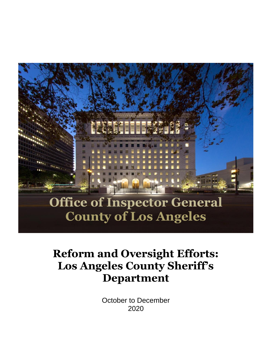

# **Reform and Oversight Efforts: Los Angeles County Sheriff's Department**

October to December 2020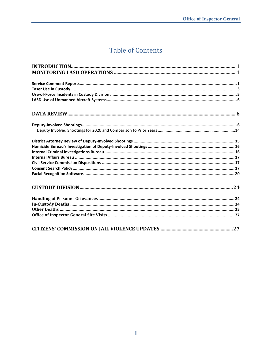# **Table of Contents**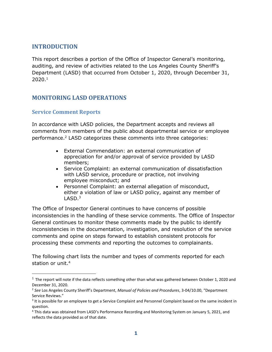#### <span id="page-2-0"></span>**INTRODUCTION**

This report describes a portion of the Office of Inspector General's monitoring, auditing, and review of activities related to the Los Angeles County Sheriff's Department (LASD) that occurred from October 1, 2020, through December 31,  $2020.<sup>1</sup>$ 

#### <span id="page-2-1"></span>**MONITORING LASD OPERATIONS**

#### <span id="page-2-2"></span>**Service Comment Reports**

In accordance with LASD policies, the Department accepts and reviews all comments from members of the public about departmental service or employee performance.<sup>2</sup> LASD categorizes these comments into three categories:

- External Commendation: an external communication of appreciation for and/or approval of service provided by LASD members;
- Service Complaint: an external communication of dissatisfaction with LASD service, procedure or practice, not involving employee misconduct; and
- Personnel Complaint: an external allegation of misconduct, either a violation of law or LASD policy, against any member of LASD. 3

The Office of Inspector General continues to have concerns of possible inconsistencies in the handling of these service comments. The Office of Inspector General continues to monitor these comments made by the public to identify inconsistencies in the documentation, investigation, and resolution of the service comments and opine on steps forward to establish consistent protocols for processing these comments and reporting the outcomes to complainants.

The following chart lists the number and types of comments reported for each station or unit. 4

 $1$  The report will note if the data reflects something other than what was gathered between October 1, 2020 and December 31, 2020.

<sup>2</sup> *See* Los Angeles County Sheriff's Department, *Manual of Policies and Procedures*, 3-04/10.00, "Department Service Reviews."

 $3$  It is possible for an employee to get a Service Complaint and Personnel Complaint based on the same incident in question.

<sup>4</sup> This data was obtained from LASD's Performance Recording and Monitoring System on January 5, 2021, and reflects the data provided as of that date.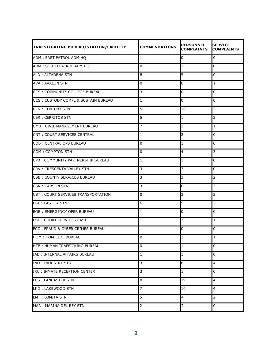| <b>INVESTIGATING BUREAU/STATION/FACILITY</b> | <b>COMMENDATIONS</b> | <b>PERSONNEL</b><br><b>COMPLAINTS</b> | <b>SERVICE</b><br><b>COMPLAINTS</b> |
|----------------------------------------------|----------------------|---------------------------------------|-------------------------------------|
| ADM: EAST PATROL ADM HQ                      | $\mathbf{1}$         | 0                                     | 0                                   |
| ADM: SOUTH PATROL ADM HQ                     | 0                    | 1                                     | 0                                   |
| <b>ALD: ALTADENA STN</b>                     | 8                    | 5                                     | 0                                   |
| <b>AVA: AVALON STN</b>                       | 0                    | 0                                     | 1                                   |
| CCS: COMMUNITY COLLEGE BUREAU                | 3                    | 0                                     | 0                                   |
| CCS: CUSTODY COMPL & SUSTAIN BUREAU          | 1                    | 0                                     | 0                                   |
| <b>CEN: CENTURY STN</b>                      | 5                    | 10                                    | 3                                   |
| <b>CER: CERRITOS STN</b>                     | 5                    | 1                                     | $\overline{2}$                      |
| CMB: CIVIL MANAGEMENT BUREAU                 | 7                    | 1                                     | $\mathbf{1}$                        |
| CNT: COURT SERVICES CENTRAL                  | 1                    | 2                                     | 0                                   |
| COB: CENTRAL OPS BUREAU                      | 0                    | 1                                     | 0                                   |
| COM: COMPTON STN                             | 0                    | 4                                     | $\mathsf{3}$                        |
| CPB: COMMUNITY PARTNERSHIP BUREAU            | 1                    | 1                                     | 0                                   |
| CRV : CRESCENTA VALLEY STN                   | 3                    | 3                                     | 0                                   |
| <b>CSB: COUNTY SERVICES BUREAU</b>           | 3                    | 3                                     | $\overline{2}$                      |
| <b>CSN: CARSON STN</b>                       | 3                    | 6                                     | 3                                   |
| CST: COURT SERVICES TRANSPORTATION           | 0                    | 3                                     | $\overline{2}$                      |
| <b>ELA: EAST LA STN</b>                      | 6                    | 5                                     | 3                                   |
| <b>EOB: EMERGENCY OPER BUREAU</b>            | 1                    | 0                                     | 0                                   |
| <b>EST: COURT SERVICES EAST</b>              | $\mathbf{1}$         | 3                                     | $\mathbf{1}$                        |
| FCC: FRAUD & CYBER CRIMES BUREAU             | 1                    | 0                                     | $\Omega$                            |
| HOM: HOMICIDE BUREAU                         | $\overline{0}$       | R                                     | 1                                   |
| <b>HTB: HUMAN TRAFFICKING BUREAU</b>         | 0                    | 1                                     | 0                                   |
| IAB : INTERNAL AFFAIRS BUREAU                | $\mathbf{1}$         | 1                                     | 0                                   |
| <b>IND: INDUSTRY STN</b>                     | 3                    | 8                                     | 4                                   |
| IRC: INMATE RECEPTION CENTER                 | 3                    | 1                                     | 0                                   |
| <b>LCS: LANCASTER STN</b>                    | 8                    | 19                                    | 4                                   |
| LKD: LAKEWOOD STN                            | 7                    | 10                                    | 4                                   |
| LMT: LOMITA STN                              | 5                    | 4                                     | $\overline{2}$                      |
| MAR: MARINA DEL REY STN                      | 2                    |                                       | 0                                   |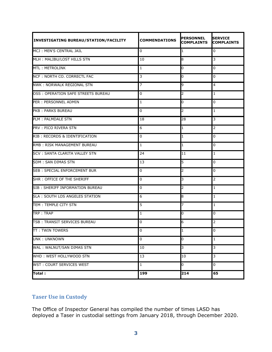| <b>INVESTIGATING BUREAU/STATION/FACILITY</b> | <b>COMMENDATIONS</b> | <b>PERSONNEL</b><br><b>COMPLAINTS</b> | <b>SERVICE</b><br><b>COMPLAINTS</b> |
|----------------------------------------------|----------------------|---------------------------------------|-------------------------------------|
| MCJ: MEN'S CENTRAL JAIL                      | 0                    | 1                                     | 0                                   |
| MLH: MALIBU/LOST HILLS STN                   | 10                   | 8                                     | $\overline{3}$                      |
| <b>MTL: METROLINK</b>                        | 1                    | 0                                     | 0                                   |
| NCF: NORTH CO. CORRECTL FAC                  | 3                    | 0                                     | 0                                   |
| NWK: NORWALK REGIONAL STN                    | 7                    | 9                                     | 4                                   |
| OSS: OPERATION SAFE STREETS BUREAU           | 0                    | 2                                     | 1                                   |
| PER : PERSONNEL ADMIN                        | 1                    | 0                                     | 0                                   |
| PKB: PARKS BUREAU                            | 0                    | 2                                     | $\mathbf{1}$                        |
| PLM: PALMDALE STN                            | 18                   | 28                                    | 3                                   |
| PRV: PICO RIVERA STN                         | 6                    | 1                                     | $\overline{2}$                      |
| RIB : RECORDS & IDENTIFICATION               | 0                    | 1                                     | 0                                   |
| <b>RMB: RISK MANAGEMENT BUREAU</b>           | 1                    | 1                                     | 0                                   |
| <b>SCV: SANTA CLARITA VALLEY STN</b>         | 24                   | 11                                    | $\mathbf{1}$                        |
| <b>SDM: SAN DIMAS STN</b>                    | 13                   | 5                                     | 0                                   |
| <b>SEB: SPECIAL ENFORCEMENT BUR</b>          | 0                    | 2                                     | $\overline{0}$                      |
| SHR: OFFICE OF THE SHERIFF                   | 0                    | 3                                     | $\overline{2}$                      |
| SIB: SHERIFF INFORMATION BUREAU              | 0                    | 2                                     | $\mathbf{1}$                        |
| SLA: SOUTH LOS ANGELES STATION               | 6                    | 8                                     | 1                                   |
| TEM: TEMPLE CITY STN                         | 5                    | 7                                     | $\mathbf{1}$                        |
| TRP: TRAP                                    | $\mathbf{1}$         | 0                                     | $\overline{0}$                      |
| TSB: TRANSIT SERVICES BUREAU                 | 0                    | 6                                     | $\overline{2}$                      |
| <b>TT: TWIN TOWERS</b>                       | $\pmb{0}$            |                                       | $\Omega$                            |
| <b>UNK: UNKNOWN</b>                          | 0                    | 0                                     | $\mathbf{1}$                        |
| WAL: WALNUT/SAN DIMAS STN                    | 10                   | 3                                     | $\overline{3}$                      |
| WHD: WEST HOLLYWOOD STN                      | 13                   | 10                                    | 3                                   |
| WST: COURT SERVICES WEST                     | $\mathbf{1}$         | 0                                     | 0                                   |
| Total:                                       | 199                  | 214                                   | 65                                  |

# <span id="page-4-0"></span>**Taser Use in Custody**

The Office of Inspector General has compiled the number of times LASD has deployed a Taser in custodial settings from January 2018, through December 2020.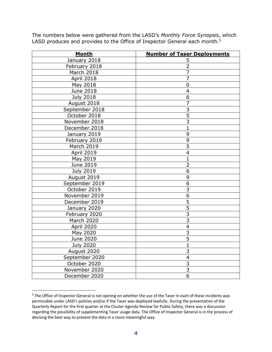| <b>Month</b>      | <b>Number of Taser Deployments</b> |
|-------------------|------------------------------------|
| January 2018      | 5                                  |
| February 2018     | $\overline{2}$                     |
| March 2018        | $\overline{7}$                     |
| April 2018        | 7                                  |
| May 2018          | $\overline{0}$                     |
| June 2018         | $\overline{4}$                     |
| <b>July 2018</b>  | 6                                  |
| August 2018       | 7                                  |
| September 2018    | $\overline{3}$                     |
| October 2018      | $\overline{5}$                     |
| November 2018     | $\overline{3}$                     |
| December 2018     | $\overline{1}$                     |
| January 2019      | 9                                  |
| February 2019     | 9                                  |
| <b>March 2019</b> | $\overline{5}$                     |
| April 2019        | $\overline{\mathcal{L}}$           |
| May 2019          | $\mathbf{1}$                       |
| June 2019         | $\overline{2}$                     |
| <b>July 2019</b>  | 6                                  |
| August 2019       | 9                                  |
| September 2019    | $\overline{6}$                     |
| October 2019      | 3                                  |
| November 2019     | 6                                  |
| December 2019     | $\overline{5}$                     |
| January 2020      | 5                                  |
| February 2020     | $\overline{3}$                     |
| March 2020        | $\overline{3}$                     |
| April 2020        | $\overline{4}$                     |
| May 2020          | $\overline{3}$                     |
| June 2020         | 5                                  |
| <b>July 2020</b>  | $\mathbf{1}$                       |
| August 2020       | $\overline{\mathbf{3}}$            |
| September 2020    | $\overline{4}$                     |
| October 2020      | 3                                  |
| November 2020     | $\overline{\mathbf{3}}$            |
| December 2020     | 6                                  |

The numbers below were gathered from the LASD's *Monthly Force Synopsis*, which LASD produces and provides to the Office of Inspector General each month.<sup>5</sup>

<sup>&</sup>lt;sup>5</sup> The Office of Inspector General is not opining on whether the use of the Taser in each of these incidents was permissible under LASD's policies and/or if the Taser was deployed lawfully. During the presentation of the Quarterly Report for the first quarter at the Cluster Agenda Review for Public Safety, there was a discussion regarding the possibility of supplementing Taser usage data. The Office of Inspector General is in the process of devising the best way to present the data in a more meaningful way.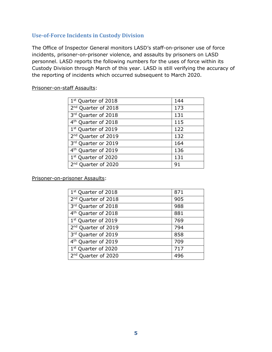#### <span id="page-6-0"></span>**Use-of-Force Incidents in Custody Division**

The Office of Inspector General monitors LASD's staff-on-prisoner use of force incidents, prisoner-on-prisoner violence, and assaults by prisoners on LASD personnel. LASD reports the following numbers for the uses of force within its Custody Division through March of this year. LASD is still verifying the accuracy of the reporting of incidents which occurred subsequent to March 2020.

#### Prisoner-on-staff Assaults:

| 144 |
|-----|
| 173 |
| 131 |
| 115 |
| 122 |
| 132 |
| 164 |
| 136 |
| 131 |
| 91  |
|     |

Prisoner-on-prisoner Assaults:

| $1st$ Quarter of 2018           | 871 |
|---------------------------------|-----|
| 2 <sup>nd</sup> Quarter of 2018 | 905 |
| 3rd Quarter of 2018             | 988 |
| 4 <sup>th</sup> Quarter of 2018 | 881 |
| 1 <sup>st</sup> Quarter of 2019 | 769 |
| 2 <sup>nd</sup> Quarter of 2019 | 794 |
| 3rd Quarter of 2019             | 858 |
| 4 <sup>th</sup> Quarter of 2019 | 709 |
| 1st Quarter of 2020             | 717 |
| 2 <sup>nd</sup> Quarter of 2020 | 496 |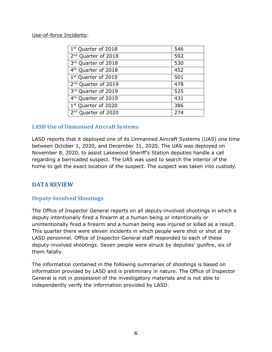#### Use-of-force Incidents:

| $1st$ Quarter of 2018           | 546 |
|---------------------------------|-----|
| 2 <sup>nd</sup> Quarter of 2018 | 592 |
| 3rd Quarter of 2018             | 530 |
| 4 <sup>th</sup> Quarter of 2018 | 452 |
| 1st Quarter of 2019             | 501 |
| 2 <sup>nd</sup> Quarter of 2019 | 478 |
| 3rd Quarter of 2019             | 525 |
| 4 <sup>th</sup> Quarter of 2019 | 431 |
| 1st Quarter of 2020             | 386 |
| 2 <sup>nd</sup> Quarter of 2020 | 274 |

#### <span id="page-7-0"></span>**LASD Use of Unmanned Aircraft Systems**

LASD reports that it deployed one of its Unmanned Aircraft Systems (UAS) one time between October 1, 2020, and December 31, 2020. The UAS was deployed on November 8, 2020, to assist Lakewood Sheriff's Station deputies handle a call regarding a barricaded suspect. The UAS was used to search the interior of the home to get the exact location of the suspect. The suspect was taken into custody.

#### <span id="page-7-1"></span>**DATA REVIEW**

#### <span id="page-7-2"></span>**Deputy-Involved Shootings**

The Office of Inspector General reports on all deputy-involved shootings in which a deputy intentionally fired a firearm at a human being or intentionally or unintentionally fired a firearm and a human being was injured or killed as a result. This quarter there were eleven incidents in which people were shot or shot at by LASD personnel. Office of Inspector General staff responded to each of these deputy-involved shootings. Seven people were struck by deputies' gunfire, six of them fatally.

The information contained in the following summaries of shootings is based on information provided by LASD and is preliminary in nature. The Office of Inspector General is not in possession of the investigatory materials and is not able to independently verify the information provided by LASD.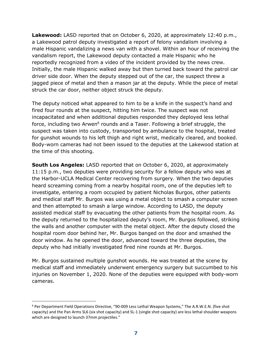**Lakewood:** LASD reported that on October 6, 2020, at approximately 12:40 p.m., a Lakewood patrol deputy investigated a report of felony vandalism involving a male Hispanic vandalizing a news van with a shovel. Within an hour of receiving the vandalism report, the Lakewood deputy contacted a male Hispanic who he reportedly recognized from a video of the incident provided by the news crew. Initially, the male Hispanic walked away but then turned back toward the patrol car driver side door. When the deputy stepped out of the car, the suspect threw a jagged piece of metal and then a mason jar at the deputy. While the piece of metal struck the car door, neither object struck the deputy.

The deputy noticed what appeared to him to be a knife in the suspect's hand and fired four rounds at the suspect, hitting him twice. The suspect was not incapacitated and when additional deputies responded they deployed less lethal force, including two Arwen<sup>6</sup> rounds and a Taser. Following a brief struggle, the suspect was taken into custody, transported by ambulance to the hospital, treated for gunshot wounds to his left thigh and right wrist, medically cleared, and booked. Body-worn cameras had not been issued to the deputies at the Lakewood station at the time of this shooting.

**South Los Angeles:** LASD reported that on October 6, 2020, at approximately 11:15 p.m., two deputies were providing security for a fellow deputy who was at the Harbor-UCLA Medical Center recovering from surgery. When the two deputies heard screaming coming from a nearby hospital room, one of the deputies left to investigate, entering a room occupied by patient Nicholas Burgos, other patients and medical staff Mr. Burgos was using a metal object to smash a computer screen and then attempted to smash a large window. According to LASD, the deputy assisted medical staff by evacuating the other patients from the hospital room. As the deputy returned to the hospitalized deputy's room, Mr. Burgos followed, striking the walls and another computer with the metal object. After the deputy closed the hospital room door behind her, Mr. Burgos banged on the door and smashed the door window. As he opened the door, advanced toward the three deputies, the deputy who had initially investigated fired nine rounds at Mr. Burgos.

Mr. Burgos sustained multiple gunshot wounds. He was treated at the scene by medical staff and immediately underwent emergency surgery but succumbed to his injuries on November 1, 2020. None of the deputies were equipped with body-worn cameras.

<sup>&</sup>lt;sup>6</sup> Per Department Field Operations Directive, "90-009 Less Lethal Weapon Systems," The A.R.W.E.N. (five shot capacity) and the Pan Arms SL6 (six shot capacity) and SL-1 (single shot capacity) are less lethal shoulder weapons which are designed to launch 37mm projectiles."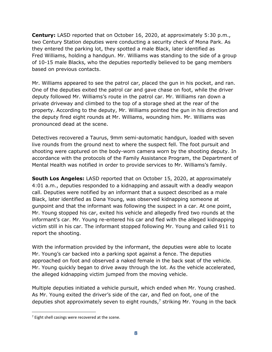**Century:** LASD reported that on October 16, 2020, at approximately 5:30 p.m., two Century Station deputies were conducting a security check of Mona Park. As they entered the parking lot, they spotted a male Black, later identified as Fred Williams, holding a handgun. Mr. Williams was standing to the side of a group of 10-15 male Blacks, who the deputies reportedly believed to be gang members based on previous contacts.

Mr. Williams appeared to see the patrol car, placed the gun in his pocket, and ran. One of the deputies exited the patrol car and gave chase on foot, while the driver deputy followed Mr. Williams's route in the patrol car. Mr. Williams ran down a private driveway and climbed to the top of a storage shed at the rear of the property. According to the deputy, Mr. Williams pointed the gun in his direction and the deputy fired eight rounds at Mr. Williams, wounding him. Mr. Williams was pronounced dead at the scene.

Detectives recovered a Taurus, 9mm semi-automatic handgun, loaded with seven live rounds from the ground next to where the suspect fell. The foot pursuit and shooting were captured on the body-worn camera worn by the shooting deputy. In accordance with the protocols of the Family Assistance Program, the Department of Mental Health was notified in order to provide services to Mr. Williams's family.

**South Los Angeles:** LASD reported that on October 15, 2020, at approximately 4:01 a.m., deputies responded to a kidnapping and assault with a deadly weapon call. Deputies were notified by an informant that a suspect described as a male Black, later identified as Dana Young, was observed kidnapping someone at gunpoint and that the informant was following the suspect in a car. At one point, Mr. Young stopped his car, exited his vehicle and allegedly fired two rounds at the informant's car. Mr. Young re-entered his car and fled with the alleged kidnapping victim still in his car. The informant stopped following Mr. Young and called 911 to report the shooting.

With the information provided by the informant, the deputies were able to locate Mr. Young's car backed into a parking spot against a fence. The deputies approached on foot and observed a naked female in the back seat of the vehicle. Mr. Young quickly began to drive away through the lot. As the vehicle accelerated, the alleged kidnapping victim jumped from the moving vehicle.

Multiple deputies initiated a vehicle pursuit, which ended when Mr. Young crashed. As Mr. Young exited the driver's side of the car, and fled on foot, one of the deputies shot approximately seven to eight rounds, $\frac{7}{7}$  striking Mr. Young in the back

 $7$  Eight shell casings were recovered at the scene.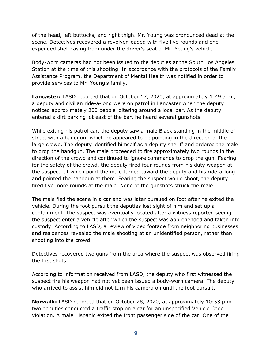of the head, left buttocks, and right thigh. Mr. Young was pronounced dead at the scene. Detectives recovered a revolver loaded with five live rounds and one expended shell casing from under the driver's seat of Mr. Young's vehicle.

Body-worn cameras had not been issued to the deputies at the South Los Angeles Station at the time of this shooting. In accordance with the protocols of the Family Assistance Program, the Department of Mental Health was notified in order to provide services to Mr. Young's family.

**Lancaster:** LASD reported that on October 17, 2020, at approximately 1:49 a.m., a deputy and civilian ride-a-long were on patrol in Lancaster when the deputy noticed approximately 200 people loitering around a local bar. As the deputy entered a dirt parking lot east of the bar, he heard several gunshots.

While exiting his patrol car, the deputy saw a male Black standing in the middle of street with a handgun, which he appeared to be pointing in the direction of the large crowd. The deputy identified himself as a deputy sheriff and ordered the male to drop the handgun. The male proceeded to fire approximately two rounds in the direction of the crowd and continued to ignore commands to drop the gun. Fearing for the safety of the crowd, the deputy fired four rounds from his duty weapon at the suspect, at which point the male turned toward the deputy and his ride-a-long and pointed the handgun at them. Fearing the suspect would shoot, the deputy fired five more rounds at the male. None of the gunshots struck the male.

The male fled the scene in a car and was later pursued on foot after he exited the vehicle. During the foot pursuit the deputies lost sight of him and set up a containment. The suspect was eventually located after a witness reported seeing the suspect enter a vehicle after which the suspect was apprehended and taken into custody. According to LASD, a review of video footage from neighboring businesses and residences revealed the male shooting at an unidentified person, rather than shooting into the crowd.

Detectives recovered two guns from the area where the suspect was observed firing the first shots.

According to information received from LASD, the deputy who first witnessed the suspect fire his weapon had not yet been issued a body-worn camera. The deputy who arrived to assist him did not turn his camera on until the foot pursuit.

**Norwalk:** LASD reported that on October 28, 2020, at approximately 10:53 p.m., two deputies conducted a traffic stop on a car for an unspecified Vehicle Code violation. A male Hispanic exited the front passenger side of the car. One of the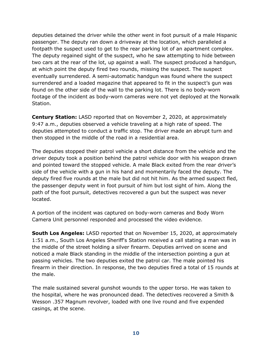deputies detained the driver while the other went in foot pursuit of a male Hispanic passenger. The deputy ran down a driveway at the location, which paralleled a footpath the suspect used to get to the rear parking lot of an apartment complex. The deputy regained sight of the suspect, who he saw attempting to hide between two cars at the rear of the lot, up against a wall. The suspect produced a handgun, at which point the deputy fired two rounds, missing the suspect. The suspect eventually surrendered. A semi-automatic handgun was found where the suspect surrendered and a loaded magazine that appeared to fit in the suspect's gun was found on the other side of the wall to the parking lot. There is no body-worn footage of the incident as body-worn cameras were not yet deployed at the Norwalk Station.

**Century Station:** LASD reported that on November 2, 2020, at approximately 9:47 a.m., deputies observed a vehicle traveling at a high rate of speed. The deputies attempted to conduct a traffic stop. The driver made an abrupt turn and then stopped in the middle of the road in a residential area.

The deputies stopped their patrol vehicle a short distance from the vehicle and the driver deputy took a position behind the patrol vehicle door with his weapon drawn and pointed toward the stopped vehicle. A male Black exited from the rear driver's side of the vehicle with a gun in his hand and momentarily faced the deputy. The deputy fired five rounds at the male but did not hit him. As the armed suspect fled, the passenger deputy went in foot pursuit of him but lost sight of him. Along the path of the foot pursuit, detectives recovered a gun but the suspect was never located.

A portion of the incident was captured on body-worn cameras and Body Worn Camera Unit personnel responded and processed the video evidence.

**South Los Angeles:** LASD reported that on November 15, 2020, at approximately 1:51 a.m., South Los Angeles Sheriff's Station received a call stating a man was in the middle of the street holding a silver firearm. Deputies arrived on scene and noticed a male Black standing in the middle of the intersection pointing a gun at passing vehicles. The two deputies exited the patrol car. The male pointed his firearm in their direction. In response, the two deputies fired a total of 15 rounds at the male.

The male sustained several gunshot wounds to the upper torso. He was taken to the hospital, where he was pronounced dead. The detectives recovered a Smith & Wesson .357 Magnum revolver, loaded with one live round and five expended casings, at the scene.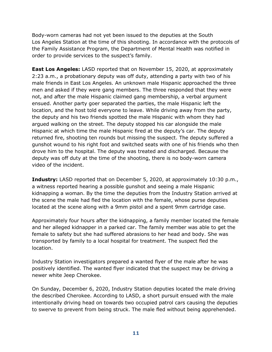Body-worn cameras had not yet been issued to the deputies at the South Los Angeles Station at the time of this shooting. In accordance with the protocols of the Family Assistance Program, the Department of Mental Health was notified in order to provide services to the suspect's family.

**East Los Angeles:** LASD reported that on November 15, 2020, at approximately 2:23 a.m., a probationary deputy was off duty, attending a party with two of his male friends in East Los Angeles. An unknown male Hispanic approached the three men and asked if they were gang members. The three responded that they were not, and after the male Hispanic claimed gang membership, a verbal argument ensued. Another party goer separated the parties, the male Hispanic left the location, and the host told everyone to leave. While driving away from the party, the deputy and his two friends spotted the male Hispanic with whom they had argued walking on the street. The deputy stopped his car alongside the male Hispanic at which time the male Hispanic fired at the deputy's car. The deputy returned fire, shooting ten rounds but missing the suspect. The deputy suffered a gunshot wound to his right foot and switched seats with one of his friends who then drove him to the hospital. The deputy was treated and discharged. Because the deputy was off duty at the time of the shooting, there is no body-worn camera video of the incident.

**Industry:** LASD reported that on December 5, 2020, at approximately 10:30 p.m., a witness reported hearing a possible gunshot and seeing a male Hispanic kidnapping a woman. By the time the deputies from the Industry Station arrived at the scene the male had fled the location with the female, whose purse deputies located at the scene along with a 9mm pistol and a spent 9mm cartridge case.

Approximately four hours after the kidnapping, a family member located the female and her alleged kidnapper in a parked car. The family member was able to get the female to safety but she had suffered abrasions to her head and body. She was transported by family to a local hospital for treatment. The suspect fled the location.

Industry Station investigators prepared a wanted flyer of the male after he was positively identified. The wanted flyer indicated that the suspect may be driving a newer white Jeep Cherokee.

On Sunday, December 6, 2020, Industry Station deputies located the male driving the described Cherokee. According to LASD, a short pursuit ensued with the male intentionally driving head on towards two occupied patrol cars causing the deputies to swerve to prevent from being struck. The male fled without being apprehended.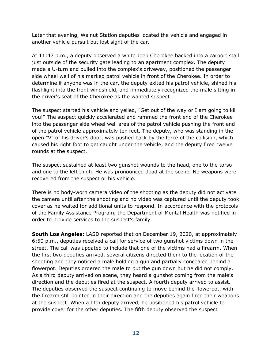Later that evening, Walnut Station deputies located the vehicle and engaged in another vehicle pursuit but lost sight of the car.

At 11:47 p.m., a deputy observed a white Jeep Cherokee backed into a carport stall just outside of the security gate leading to an apartment complex. The deputy made a U-turn and pulled into the complex's driveway, positioned the passenger side wheel well of his marked patrol vehicle in front of the Cherokee. In order to determine if anyone was in the car, the deputy exited his patrol vehicle, shined his flashlight into the front windshield, and immediately recognized the male sitting in the driver's seat of the Cherokee as the wanted suspect.

The suspect started his vehicle and yelled, "Get out of the way or I am going to kill you!" The suspect quickly accelerated and rammed the front end of the Cherokee into the passenger side wheel well area of the patrol vehicle pushing the front end of the patrol vehicle approximately ten feet. The deputy, who was standing in the open "V" of his driver's door, was pushed back by the force of the collision, which caused his right foot to get caught under the vehicle, and the deputy fired twelve rounds at the suspect.

The suspect sustained at least two gunshot wounds to the head, one to the torso and one to the left thigh. He was pronounced dead at the scene. No weapons were recovered from the suspect or his vehicle.

There is no body-worn camera video of the shooting as the deputy did not activate the camera until after the shooting and no video was captured until the deputy took cover as he waited for additional units to respond. In accordance with the protocols of the Family Assistance Program, the Department of Mental Health was notified in order to provide services to the suspect's family.

**South Los Angeles:** LASD reported that on December 19, 2020, at approximately 6:50 p.m., deputies received a call for service of two gunshot victims down in the street. The call was updated to include that one of the victims had a firearm. When the first two deputies arrived, several citizens directed them to the location of the shooting and they noticed a male holding a gun and partially concealed behind a flowerpot. Deputies ordered the male to put the gun down but he did not comply. As a third deputy arrived on scene, they heard a gunshot coming from the male's direction and the deputies fired at the suspect. A fourth deputy arrived to assist. The deputies observed the suspect continuing to move behind the flowerpot, with the firearm still pointed in their direction and the deputies again fired their weapons at the suspect. When a fifth deputy arrived, he positioned his patrol vehicle to provide cover for the other deputies. The fifth deputy observed the suspect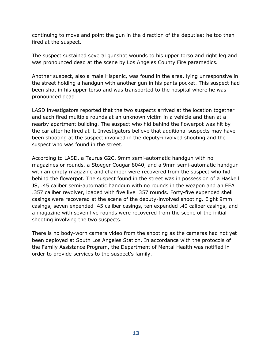continuing to move and point the gun in the direction of the deputies; he too then fired at the suspect.

The suspect sustained several gunshot wounds to his upper torso and right leg and was pronounced dead at the scene by Los Angeles County Fire paramedics.

Another suspect, also a male Hispanic, was found in the area, lying unresponsive in the street holding a handgun with another gun in his pants pocket. This suspect had been shot in his upper torso and was transported to the hospital where he was pronounced dead.

LASD investigators reported that the two suspects arrived at the location together and each fired multiple rounds at an unknown victim in a vehicle and then at a nearby apartment building. The suspect who hid behind the flowerpot was hit by the car after he fired at it. Investigators believe that additional suspects may have been shooting at the suspect involved in the deputy-involved shooting and the suspect who was found in the street.

According to LASD, a Taurus G2C, 9mm semi-automatic handgun with no magazines or rounds, a Stoeger Cougar 8040, and a 9mm semi-automatic handgun with an empty magazine and chamber were recovered from the suspect who hid behind the flowerpot. The suspect found in the street was in possession of a Haskell JS, .45 caliber semi-automatic handgun with no rounds in the weapon and an EEA .357 caliber revolver, loaded with five live .357 rounds. Forty-five expended shell casings were recovered at the scene of the deputy-involved shooting. Eight 9mm casings, seven expended .45 caliber casings, ten expended .40 caliber casings, and a magazine with seven live rounds were recovered from the scene of the initial shooting involving the two suspects.

There is no body-worn camera video from the shooting as the cameras had not yet been deployed at South Los Angeles Station. In accordance with the protocols of the Family Assistance Program, the Department of Mental Health was notified in order to provide services to the suspect's family.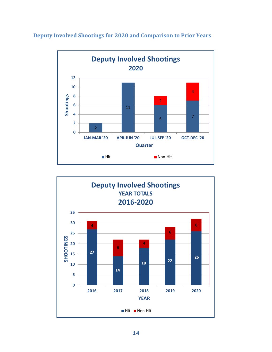

<span id="page-15-0"></span>**Deputy Involved Shootings for 2020 and Comparison to Prior Years**

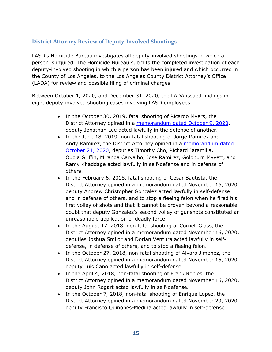#### <span id="page-16-0"></span>**District Attorney Review of Deputy-Involved Shootings**

LASD's Homicide Bureau investigates all deputy-involved shootings in which a person is injured. The Homicide Bureau submits the completed investigation of each deputy-involved shooting in which a person has been injured and which occurred in the County of Los Angeles, to the Los Angeles County District Attorney's Office (LADA) for review and possible filing of criminal charges.

Between October 1, 2020, and December 31, 2020, the LADA issued findings in eight deputy-involved shooting cases involving LASD employees.

- In the October 30, 2019, fatal shooting of Ricardo Myers, the District Attorney opined in a [memorandum dated October 9, 2020,](https://da.lacounty.gov/sites/default/files/pdf/JSID-OIS-10-09-2020-Myers.pdf) deputy Jonathan Lee acted lawfully in the defense of another.
- In the June 18, 2019, non-fatal shooting of Jorge Ramirez and Andy Ramirez, the District Attorney opined in a memorandum dated [October 21, 2020,](https://da.lacounty.gov/sites/default/files/pdf/JSID-OIS-10-21-2020-Ramirez.pdf) deputies Timothy Cho, Richard Jaramilla, Quoia Griffin, Miranda Carvalho, Jose Ramirez, Goldburn Myvett, and Ramy Khaddage acted lawfully in self-defense and in defense of others.
- In the February 6, 2018, fatal shooting of Cesar Bautista, the District Attorney opined in a memorandum dated November 16, 2020, deputy Andrew Christopher Gonzalez acted lawfully in self-defense and in defense of others, and to stop a fleeing felon when he fired his first volley of shots and that it cannot be proven beyond a reasonable doubt that deputy Gonzalez's second volley of gunshots constituted an unreasonable application of deadly force.
- In the August 17, 2018, non-fatal shooting of Cornell Glass, the District Attorney opined in a memorandum dated November 16, 2020, deputies Joshua Smilor and Dorian Ventura acted lawfully in selfdefense, in defense of others, and to stop a fleeing felon.
- In the October 27, 2018, non-fatal shooting of Alvaro Jimenez, the District Attorney opined in a memorandum dated November 16, 2020, deputy Luis Cano acted lawfully in self-defense.
- In the April 4, 2018, non-fatal shooting of Frank Robles, the District Attorney opined in a memorandum dated November 16, 2020, deputy John Rogart acted lawfully in self-defense.
- In the October 7, 2018, non-fatal shooting of Enrique Lopez, the District Attorney opined in a memorandum dated November 20, 2020, deputy Francisco Quinones-Medina acted lawfully in self-defense.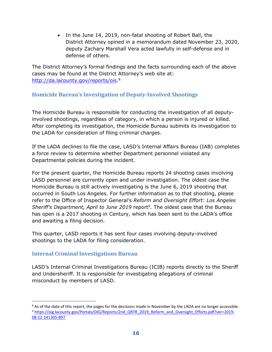• In the June 14, 2019, non-fatal shooting of Robert Ball, the District Attorney opined in a memorandum dated November 23, 2020, deputy Zachary Marshall Vera acted lawfully in self-defense and in defense of others.

The District Attorney's formal findings and the facts surrounding each of the above cases may be found at the District Attorney's web site at: [http://da.lacounty.gov/reports/ois.](http://da.lacounty.gov/reports/ois) 8

#### <span id="page-17-0"></span>**Homicide Bureau's Investigation of Deputy-Involved Shootings**

The Homicide Bureau is responsible for conducting the investigation of all deputyinvolved shootings, regardless of category, in which a person is injured or killed. After completing its investigation, the Homicide Bureau submits its investigation to the LADA for consideration of filing criminal charges.

If the LADA declines to file the case, LASD's Internal Affairs Bureau (IAB) completes a force review to determine whether Department personnel violated any Departmental policies during the incident.

For the present quarter, the Homicide Bureau reports 24 shooting cases involving LASD personnel are currently open and under investigation. The oldest case the Homicide Bureau is still actively investigating is the June 6, 2019 shooting that occurred in South Los Angeles. For further information as to that shooting, please refer to the Office of Inspector General's *Reform and Oversight Effort: Los Angeles*  Sheriff's Department, April to June 2019 report<sup>9</sup>. The oldest case that the Bureau has open is a 2017 shooting in Century, which has been sent to the LADA's office and awaiting a filing decision.

This quarter, LASD reports it has sent four cases involving deputy-involved shootings to the LADA for filing consideration.

#### <span id="page-17-1"></span>**Internal Criminal Investigations Bureau**

LASD's Internal Criminal Investigations Bureau (ICIB) reports directly to the Sheriff and Undersheriff. It is responsible for investigating allegations of criminal misconduct by members of LASD.

<sup>&</sup>lt;sup>8</sup> As of the date of this report, the pages for the decisions made in November by the LADA are no longer accessible. 9 [https://oig.lacounty.gov/Portals/OIG/Reports/2nd\\_QRTR\\_2019\\_Reform\\_and\\_Oversight\\_Efforts.pdf?ver=2019-](https://oig.lacounty.gov/Portals/OIG/Reports/2nd_QRTR_2019_Reform_and_Oversight_Efforts.pdf?ver=2019-08-12-141305-897) [08-12-141305-897](https://oig.lacounty.gov/Portals/OIG/Reports/2nd_QRTR_2019_Reform_and_Oversight_Efforts.pdf?ver=2019-08-12-141305-897)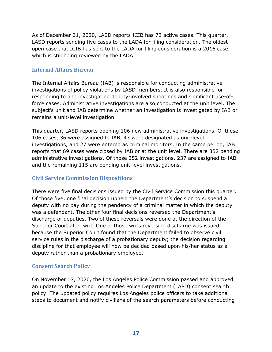As of December 31, 2020, LASD reports ICIB has 72 active cases. This quarter, LASD reports sending five cases to the LADA for filing consideration. The oldest open case that ICIB has sent to the LADA for filing consideration is a 2016 case, which is still being reviewed by the LADA.

#### <span id="page-18-0"></span>**Internal Affairs Bureau**

The Internal Affairs Bureau (IAB) is responsible for conducting administrative investigations of policy violations by LASD members. It is also responsible for responding to and investigating deputy-involved shootings and significant use-offorce cases. Administrative investigations are also conducted at the unit level. The subject's unit and IAB determine whether an investigation is investigated by IAB or remains a unit-level investigation.

This quarter, LASD reports opening 106 new administrative investigations. Of these 106 cases, 36 were assigned to IAB, 43 were designated as unit-level investigations, and 27 were entered as criminal monitors. In the same period, IAB reports that 69 cases were closed by IAB or at the unit level. There are 352 pending administrative investigations. Of those 352 investigations, 237 are assigned to IAB and the remaining 115 are pending unit-level investigations.

#### <span id="page-18-1"></span>**Civil Service Commission Dispositions**

There were five final decisions issued by the Civil Service Commission this quarter. Of those five, one final decision upheld the Department's decision to suspend a deputy with no pay during the pendency of a criminal matter in which the deputy was a defendant. The other four final decisions reversed the Department's discharge of deputies. Two of these reversals were done at the direction of the Superior Court after writ. One of those writs reversing discharge was issued because the Superior Court found that the Department failed to observe civil service rules in the discharge of a probationary deputy; the decision regarding discipline for that employee will now be decided based upon his/her status as a deputy rather than a probationary employee.

#### <span id="page-18-2"></span>**Consent Search Policy**

On November 17, 2020, the Los Angeles Police Commission passed and approved an update to the existing Los Angeles Police Department (LAPD) consent search policy. The updated policy requires Los Angeles police officers to take additional steps to document and notify civilians of the search parameters before conducting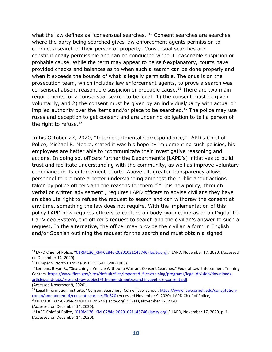what the law defines as "consensual searches." <sup>10</sup> Consent searches are searches where the party being searched gives law enforcement agents permission to conduct a search of their person or property. Consensual searches are constitutionally permissible and can be conducted without reasonable suspicion or probable cause. While the term may appear to be self-explanatory, courts have provided checks and balances as to when such a search can be done properly and when it exceeds the bounds of what is legally permissible. The onus is on the prosecution team, which includes law enforcement agents, to prove a search was consensual absent reasonable suspicion or probable cause.<sup>11</sup> There are two main requirements for a consensual search to be legal: 1) the consent must be given voluntarily, and 2) the consent must be given by an individual/party with actual or implied authority over the items and/or place to be searched.<sup>12</sup> The police may use ruses and deception to get consent and are under no obligation to tell a person of the right to refuse. $13$ 

In his October 27, 2020, "Interdepartmental Correspondence," LAPD's Chief of Police, Michael R. Moore, stated it was his hope by implementing such policies, his employees are better able to "communicate their investigative reasoning and actions. In doing so, officers further the Department's [LAPD's] initiatives to build trust and facilitate understanding with the community, as well as improve voluntary compliance in its enforcement efforts. Above all, greater transparency allows personnel to promote a better understanding amongst the public about actions taken by police officers and the reasons for them."<sup>14</sup> This new policy, through verbal or written advisement , requires LAPD officers to advise civilians they have an absolute right to refuse the request to search and can withdraw the consent at any time, something the law does not require. With the implementation of this policy LAPD now requires officers to capture on body-worn cameras or on Digital In-Car Video System, the officer's request to search and the civilian's answer to such a request. In the alternative, the officer may provide the civilian a form in English and/or Spanish outlining the request for the search and must obtain a signed

<sup>&</sup>lt;sup>10</sup> LAPD Chief of Police, "[01RM136\\_KM-C284e-20201021145746 \(lacity.org\)](http://www.lapdpolicecom.lacity.org/111720/BPC_20-0156.pdf)," LAPD, November 17, 2020. (Accessed on December 14, 2020).

<sup>11</sup> Bumper v. North Carolina 391 U.S. 543, 548 (1968).

<sup>&</sup>lt;sup>12</sup> Lemons, Bryan R., "Searching a Vehicle Without a Warrant Consent Searches," Federal Law Enforcement Training Centers. [https://www.fletc.gov/sites/default/files/imported\\_files/training/programs/legal-division/downloads](https://www.fletc.gov/sites/default/files/imported_files/training/programs/legal-division/downloads-articles-and-faqs/research-by-subject/4th-amendment/searchingavehicle-consent.pdf)[articles-and-faqs/research-by-subject/4th-amendment/searchingavehicle-consent.pdf.](https://www.fletc.gov/sites/default/files/imported_files/training/programs/legal-division/downloads-articles-and-faqs/research-by-subject/4th-amendment/searchingavehicle-consent.pdf) (Accessed November 9, 2020).

<sup>&</sup>lt;sup>13</sup> Legal Information Institute, "Consent Searches," Cornell Law School. [https://www.law.cornell.edu/constitution](https://www.law.cornell.edu/constitution-conan/amendment-4/consent-searches#fn320)[conan/amendment-4/consent-searches#fn320](https://www.law.cornell.edu/constitution-conan/amendment-4/consent-searches#fn320) (Accessed November 9, 2020). LAPD Chief of Police,

<sup>&</sup>quot;[01RM136\\_KM-C284e-20201021145746 \(lacity.org\)](http://www.lapdpolicecom.lacity.org/111720/BPC_20-0156.pdf)," LAPD, November 17, 2020. (Accessed on December 14, 2020).

<sup>&</sup>lt;sup>14</sup> LAPD Chief of Police, "[01RM136\\_KM-C284e-20201021145746 \(lacity.org\)](http://www.lapdpolicecom.lacity.org/111720/BPC_20-0156.pdf)," LAPD, November 17, 2020, p. 1. (Accessed on December 14, 2020).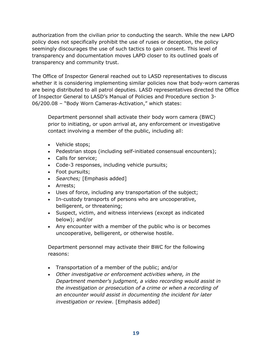authorization from the civilian prior to conducting the search. While the new LAPD policy does not specifically prohibit the use of ruses or deception, the policy seemingly discourages the use of such tactics to gain consent. This level of transparency and documentation moves LAPD closer to its outlined goals of transparency and community trust.

The Office of Inspector General reached out to LASD representatives to discuss whether it is considering implementing similar policies now that body-worn cameras are being distributed to all patrol deputies. LASD representatives directed the Office of Inspector General to LASD's Manual of Policies and Procedure section 3- 06/200.08 – "Body Worn Cameras-Activation," which states:

Department personnel shall activate their body worn camera (BWC) prior to initiating, or upon arrival at, any enforcement or investigative contact involving a member of the public, including all:

- Vehicle stops;
- Pedestrian stops (including self-initiated consensual encounters);
- Calls for service;
- Code-3 responses, including vehicle pursuits;
- Foot pursuits;
- *Searches;* [Emphasis added]
- Arrests;
- Uses of force, including any transportation of the subject;
- In-custody transports of persons who are uncooperative, belligerent, or threatening;
- Suspect, victim, and witness interviews (except as indicated below); and/or
- Any encounter with a member of the public who is or becomes uncooperative, belligerent, or otherwise hostile.

Department personnel may activate their BWC for the following reasons:

- Transportation of a member of the public; and/or
- *Other investigative or enforcement activities where, in the Department member's judgment, a video recording would assist in the investigation or prosecution of a crime or when a recording of an encounter would assist in documenting the incident for later investigation or review.* [Emphasis added]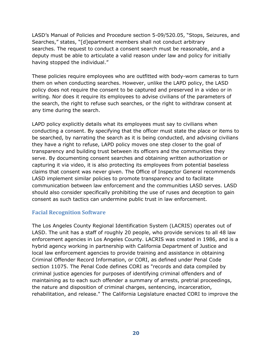LASD's Manual of Policies and Procedure section 5-09/520.05, "Stops, Seizures, and Searches," states, "[d]epartment members shall not conduct arbitrary searches. The request to conduct a consent search must be reasonable, and a deputy must be able to articulate a valid reason under law and policy for initially having stopped the individual."

These policies require employees who are outfitted with body-worn cameras to turn them on when conducting searches. However, unlike the LAPD policy, the LASD policy does not require the consent to be captured and preserved in a video or in writing. Nor does it require its employees to advise civilians of the parameters of the search, the right to refuse such searches, or the right to withdraw consent at any time during the search.

LAPD policy explicitly details what its employees must say to civilians when conducting a consent. By specifying that the officer must state the place or items to be searched, by narrating the search as it is being conducted, and advising civilians they have a right to refuse, LAPD policy moves one step closer to the goal of transparency and building trust between its officers and the communities they serve. By documenting consent searches and obtaining written authorization or capturing it via video, it is also protecting its employees from potential baseless claims that consent was never given. The Office of Inspector General recommends LASD implement similar policies to promote transparency and to facilitate communication between law enforcement and the communities LASD serves. LASD should also consider specifically prohibiting the use of ruses and deception to gain consent as such tactics can undermine public trust in law enforcement.

#### <span id="page-21-0"></span>**Facial Recognition Software**

The Los Angeles County Regional Identification System (LACRIS) operates out of LASD. The unit has a staff of roughly 20 people, who provide services to all 48 law enforcement agencies in Los Angeles County. LACRIS was created in 1986, and is a hybrid agency working in partnership with California Department of Justice and local law enforcement agencies to provide training and assistance in obtaining Criminal Offender Record Information, or CORI, as defined under Penal Code section 11075. The Penal Code defines CORI as "records and data compiled by criminal justice agencies for purposes of identifying criminal offenders and of maintaining as to each such offender a summary of arrests, pretrial proceedings, the nature and disposition of criminal charges, sentencing, incarceration, rehabilitation, and release." The California Legislature enacted CORI to improve the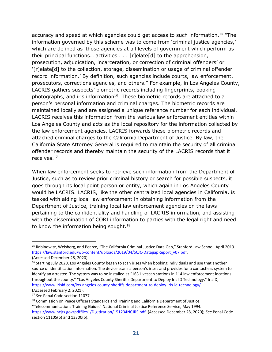accuracy and speed at which agencies could get access to such information.<sup>15</sup> "The information governed by this scheme was to come from 'criminal justice agencies,' which are defined as 'those agencies at all levels of government which perform as their principal functions… activities . . . [r]elate[d] to the apprehension, prosecution, adjudication, incarceration, or correction of criminal offenders' or '[r]elate[d] to the collection, storage, dissemination or usage of criminal offender record information.' By definition, such agencies include courts, law enforcement, prosecutors, corrections agencies, and others." For example, in Los Angeles County, LACRIS gathers suspects' biometric records including fingerprints, booking photographs, and iris information<sup>16</sup>. These biometric records are attached to a person's personal information and criminal charges. The biometric records are maintained locally and are assigned a unique reference number for each individual. LACRIS receives this information from the various law enforcement entities within Los Angeles County and acts as the local repository for the information collected by the law enforcement agencies. LACRIS forwards these biometric records and attached criminal charges to the California Department of Justice. By law, the California State Attorney General is required to maintain the security of all criminal offender records and thereby maintain the security of the LACRIS records that it receives. 17

When law enforcement seeks to retrieve such information from the Department of Justice, such as to review prior criminal history or search for possible suspects, it goes through its local point person or entity, which again in Los Angeles County would be LACRIS. LACRIS, like the other centralized local agencies in California, is tasked with aiding local law enforcement in obtaining information from the Department of Justice, training local law enforcement agencies on the laws pertaining to the confidentiality and handling of LACRIS information, and assisting with the dissemination of CORI information to parties with the legal right and need to know the information being sought. $18$ 

<sup>15</sup> Rabinowitz, Weisberg, and Pearce, "The California Criminal Justice Data Gap," Stanford Law School, April 2019. [https://law.stanford.edu/wp-content/uploads/2019/04/SCJC-DatagapReport\\_v07.pdf.](https://law.stanford.edu/wp-content/uploads/2019/04/SCJC-DatagapReport_v07.pdf)

<sup>(</sup>Accessed December 28, 2020).

<sup>&</sup>lt;sup>16</sup> Starting July 2020, Los Angeles County began to scan irises when booking individuals and use that another source of identification information. The device scans a person's irises and provides for a contactless system to identify an arrestee. The system was to be installed at "163 Livescan stations in 114 law enforcement locations throughout the county." "Los Angeles County Sheriff's Department to Deploy Iris ID Technology," IrisID, <https://www.irisid.com/los-angeles-county-sheriffs-department-to-deploy-iris-id-technology/> (Accessed February 2, 2021).

<sup>17</sup> *See* Penal Code section 11077.

<sup>&</sup>lt;sup>18</sup> Commission on Peace Officers Standards and Training and California Department of Justice,

<sup>&</sup>quot;Telecommunications Training Guide," National Criminal Justice Reference Service, May 1994. [https://www.ncjrs.gov/pdffiles1/Digitization/151234NCJRS.pdf.](https://www.ncjrs.gov/pdffiles1/Digitization/151234NCJRS.pdf) (Accessed December 28, 2020); *See* Penal Code section 11105(b) and 13300(b).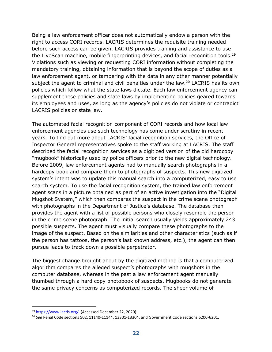Being a law enforcement officer does not automatically endow a person with the right to access CORI records. LACRIS determines the requisite training needed before such access can be given. LACRIS provides training and assistance to use the LiveScan machine, mobile fingerprinting devices, and facial recognition tools.<sup>19</sup> Violations such as viewing or requesting CORI information without completing the mandatory training, obtaining information that is beyond the scope of duties as a law enforcement agent, or tampering with the data in any other manner potentially subject the agent to criminal and civil penalties under the law.<sup>20</sup> LACRIS has its own policies which follow what the state laws dictate. Each law enforcement agency can supplement these policies and state laws by implementing policies geared towards its employees and uses, as long as the agency's policies do not violate or contradict LACRIS policies or state law.

The automated facial recognition component of CORI records and how local law enforcement agencies use such technology has come under scrutiny in recent years. To find out more about LACRIS' facial recognition services, the Office of Inspector General representatives spoke to the staff working at LACRIS. The staff described the facial recognition services as a digitized version of the old hardcopy "mugbook" historically used by police officers prior to the new digital technology. Before 2009, law enforcement agents had to manually search photographs in a hardcopy book and compare them to photographs of suspects. This new digitized system's intent was to update this manual search into a computerized, easy to use search system. To use the facial recognition system, the trained law enforcement agent scans in a picture obtained as part of an active investigation into the "Digital Mugshot System," which then compares the suspect in the crime scene photograph with photographs in the Department of Justice's database. The database then provides the agent with a list of possible persons who closely resemble the person in the crime scene photograph. The initial search usually yields approximately 243 possible suspects. The agent must visually compare these photographs to the image of the suspect. Based on the similarities and other characteristics (such as if the person has tattoos, the person's last known address, etc.), the agent can then pursue leads to track down a possible perpetrator.

The biggest change brought about by the digitized method is that a computerized algorithm compares the alleged suspect's photographs with mugshots in the computer database, whereas in the past a law enforcement agent manually thumbed through a hard copy photobook of suspects. Mugbooks do not generate the same privacy concerns as computerized records. The sheer volume of

<sup>19</sup> [https://www.lacris.org/.](https://www.lacris.org/) (Accessed December 22, 2020).

<sup>20</sup> *See* Penal Code sections 502, 11140-11144, 13301-13304, and Government Code sections 6200-6201.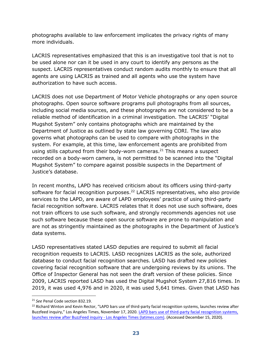photographs available to law enforcement implicates the privacy rights of many more individuals.

LACRIS representatives emphasized that this is an investigative tool that is not to be used alone nor can it be used in any court to identify any persons as the suspect. LACRIS representatives conduct random audits monthly to ensure that all agents are using LACRIS as trained and all agents who use the system have authorization to have such access.

LACRIS does not use Department of Motor Vehicle photographs or any open source photographs. Open source software programs pull photographs from all sources, including social media sources, and these photographs are not considered to be a reliable method of identification in a criminal investigation. The LACRIS' "Digital Mugshot System" only contains photographs which are maintained by the Department of Justice as outlined by state law governing CORI. The law also governs what photographs can be used to compare with photographs in the system. For example, at this time, law enforcement agents are prohibited from using stills captured from their body-worn cameras.<sup>21</sup> This means a suspect recorded on a body-worn camera, is not permitted to be scanned into the "Digital Mugshot System" to compare against possible suspects in the Department of Justice's database.

In recent months, LAPD has received criticism about its officers using third-party software for facial recognition purposes.<sup>22</sup> LACRIS representatives, who also provide services to the LAPD, are aware of LAPD employees' practice of using third-party facial recognition software. LACRIS relates that it does not use such software, does not train officers to use such software, and strongly recommends agencies not use such software because these open source software are prone to manipulation and are not as stringently maintained as the photographs in the Department of Justice's data systems.

LASD representatives stated LASD deputies are required to submit all facial recognition requests to LACRIS. LASD recognizes LACRIS as the sole, authorized database to conduct facial recognition searches. LASD has drafted new policies covering facial recognition software that are undergoing reviews by its unions. The Office of Inspector General has not seen the draft version of these policies. Since 2009, LACRIS reported LASD has used the Digital Mugshot System 27,816 times. In 2019, it was used 4,976 and in 2020, it was used 5,641 times. Given that LASD has

<sup>21</sup> *See* Penal Code section 832.19.

<sup>&</sup>lt;sup>22</sup> Richard Winton and Kevin Rector, "LAPD bars use of third-party facial recognition systems, launches review after Buzzfeed inquiry," Los Angeles Times, November 17, 2020. [LAPD bars use of third-party facial recognition systems,](https://www.latimes.com/california/story/2020-11-17/lapd-bars-outside-facial-recognition-use-as-buzzfeed-inquiry-spurs-investigation#:~:text=The%20Times%20reported%20in%20September,compared%20to%20other%20major%20cities)  [launches review after BuzzFeed inquiry -](https://www.latimes.com/california/story/2020-11-17/lapd-bars-outside-facial-recognition-use-as-buzzfeed-inquiry-spurs-investigation#:~:text=The%20Times%20reported%20in%20September,compared%20to%20other%20major%20cities) Los Angeles Times (latimes.com). (Accessed December 15, 2020).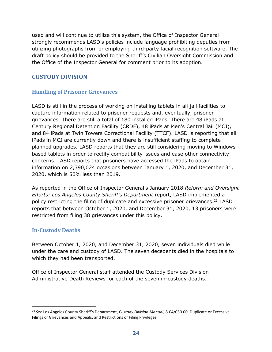used and will continue to utilize this system, the Office of Inspector General strongly recommends LASD's policies include language prohibiting deputies from utilizing photographs from or employing third-party facial recognition software. The draft policy should be provided to the Sheriff's Civilian Oversight Commission and the Office of the Inspector General for comment prior to its adoption.

## <span id="page-25-0"></span>**CUSTODY DIVISION**

## <span id="page-25-1"></span>**Handling of Prisoner Grievances**

LASD is still in the process of working on installing tablets in all jail facilities to capture information related to prisoner requests and, eventually, prisoner grievances. There are still a total of 180 installed iPads. There are 48 iPads at Century Regional Detention Facility (CRDF), 48 iPads at Men's Central Jail (MCJ), and 84 iPads at Twin Towers Correctional Facility (TTCF). LASD is reporting that all iPads in MCJ are currently down and there is insufficient staffing to complete planned upgrades. LASD reports that they are still considering moving to Windows based tablets in order to rectify compatibility issues and ease other connectivity concerns. LASD reports that prisoners have accessed the iPads to obtain information on 2,390,024 occasions between January 1, 2020, and December 31, 2020, which is 50% less than 2019.

As reported in the Office of Inspector General's January 2018 *Reform and Oversight Efforts: Los Angeles County Sheriff's Department* report, LASD implemented a policy restricting the filing of duplicate and excessive prisoner grievances.<sup>23</sup> LASD reports that between October 1, 2020, and December 31, 2020, 13 prisoners were restricted from filing 38 grievances under this policy.

#### <span id="page-25-2"></span>**In-Custody Deaths**

Between October 1, 2020, and December 31, 2020, seven individuals died while under the care and custody of LASD. The seven decedents died in the hospitals to which they had been transported.

Office of Inspector General staff attended the Custody Services Division Administrative Death Reviews for each of the seven in-custody deaths.

<sup>23</sup> *See* Los Angeles County Sheriff's Department, *Custody Division Manual*, 8-04/050.00, Duplicate or Excessive Filings of Grievances and Appeals, and Restrictions of Filing Privileges.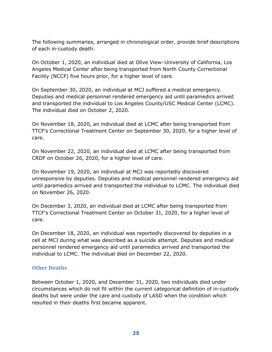The following summaries, arranged in chronological order, provide brief descriptions of each in-custody death:

On October 1, 2020, an individual died at Olive View–University of California, Los Angeles Medical Center after being transported from North County Correctional Facility (NCCF) five hours prior, for a higher level of care.

On September 30, 2020, an individual at MCJ suffered a medical emergency. Deputies and medical personnel rendered emergency aid until paramedics arrived and transported the individual to Los Angeles County/USC Medical Center (LCMC). The individual died on October 2, 2020.

On November 18, 2020, an individual died at LCMC after being transported from TTCF's Correctional Treatment Center on September 30, 2020, for a higher level of care.

On November 22, 2020, an individual died at LCMC after being transported from CRDF on October 26, 2020, for a higher level of care.

On November 19, 2020, an individual at MCJ was reportedly discovered unresponsive by deputies. Deputies and medical personnel rendered emergency aid until paramedics arrived and transported the individual to LCMC. The individual died on November 26, 2020.

On December 3, 2020, an individual died at LCMC after being transported from TTCF's Correctional Treatment Center on October 31, 2020, for a higher level of care.

On December 18, 2020, an individual was reportedly discovered by deputies in a cell at MCJ during what was described as a suicide attempt. Deputies and medical personnel rendered emergency aid until paramedics arrived and transported the individual to LCMC. The individual died on December 22, 2020.

#### <span id="page-26-0"></span>**Other Deaths**

Between October 1, 2020, and December 31, 2020, two individuals died under circumstances which do not fit within the current categorical definition of in-custody deaths but were under the care and custody of LASD when the condition which resulted in their deaths first became apparent.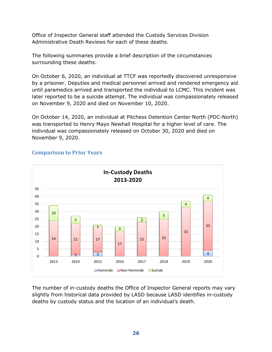Office of Inspector General staff attended the Custody Services Division Administrative Death Reviews for each of these deaths.

The following summaries provide a brief description of the circumstances surrounding these deaths:

On October 6, 2020, an individual at TTCF was reportedly discovered unresponsive by a prisoner. Deputies and medical personnel arrived and rendered emergency aid until paramedics arrived and transported the individual to LCMC. This incident was later reported to be a suicide attempt. The individual was compassionately released on November 9, 2020 and died on November 10, 2020.

On October 14, 2020, an individual at Pitchess Detention Center North (PDC-North) was transported to Henry Mayo Newhall Hospital for a higher level of care. The individual was compassionately released on October 30, 2020 and died on November 9, 2020.



#### **Comparison to Prior Years**

The number of in-custody deaths the Office of Inspector General reports may vary slightly from historical data provided by LASD because LASD identifies in-custody deaths by custody status and the location of an individual's death.